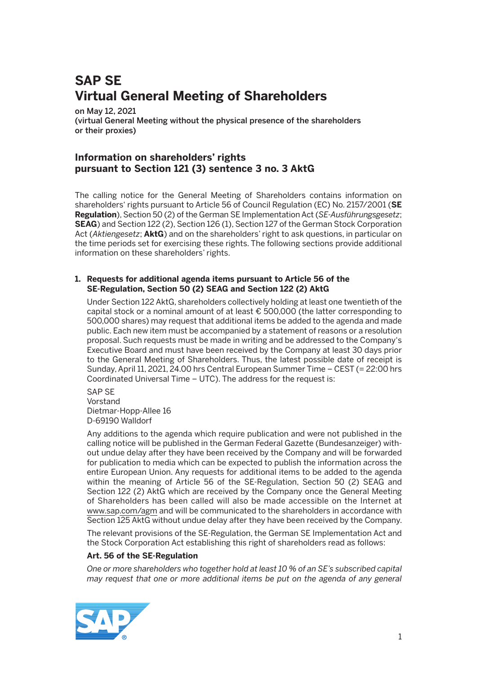# **SAP SE Virtual General Meeting of Shareholders**

#### on May 12, 2021

(virtual General Meeting without the physical presence of the shareholders or their proxies)

# **Information on shareholders' rights pursuant to Section 121 (3) sentence 3 no. 3 AktG**

The calling notice for the General Meeting of Shareholders contains information on shareholders' rights pursuant to Article 56 of Council Regulation (EC) No. 2157/2001 (**SE Regulation**), Section 50 (2) of the German SE Implementation Act (*SE-Ausführungsgesetz*; **SEAG**) and Section 122 (2), Section 126 (1), Section 127 of the German Stock Corporation Act (*Aktiengesetz*; **AktG**) and on the shareholders' right to ask questions, in particular on the time periods set for exercising these rights. The following sections provide additional information on these shareholders' rights.

#### **1. Requests for additional agenda items pursuant to Article 56 of the SE-Regulation, Section 50 (2) SEAG and Section 122 (2) AktG**

 Under Section 122 AktG, shareholders collectively holding at least one twentieth of the capital stock or a nominal amount of at least € 500,000 (the latter corresponding to 500,000 shares) may request that additional items be added to the agenda and made public. Each new item must be accompanied by a statement of reasons or a resolution proposal. Such requests must be made in writing and be addressed to the Company's Executive Board and must have been received by the Company at least 30 days prior to the General Meeting of Shareholders. Thus, the latest possible date of receipt is Sunday, April 11, 2021, 24.00 hrs Central European Summer Time – CEST (= 22:00 hrs Coordinated Universal Time – UTC). The address for the request is:

 SAP SE Vorstand Dietmar-Hopp-Allee 16 D-69190 Walldorf

 Any additions to the agenda which require publication and were not published in the calling notice will be published in the German Federal Gazette (Bundesanzeiger) without undue delay after they have been received by the Company and will be forwarded for publication to media which can be expected to publish the information across the entire European Union. Any requests for additional items to be added to the agenda within the meaning of Article 56 of the SE-Regulation, Section 50 (2) SEAG and Section 122 (2) AktG which are received by the Company once the General Meeting of Shareholders has been called will also be made accessible on the Internet at www.sap.com/agm and will be communicated to the shareholders in accordance with Section 125 AktG without undue delay after they have been received by the Company.

 The relevant provisions of the SE-Regulation, the German SE Implementation Act and the Stock Corporation Act establishing this right of shareholders read as follows:

### **Art. 56 of the SE-Regulation**

 *One or more shareholders who together hold at least 10 % of an SE's subscribed capital may request that one or more additional items be put on the agenda of any general* 

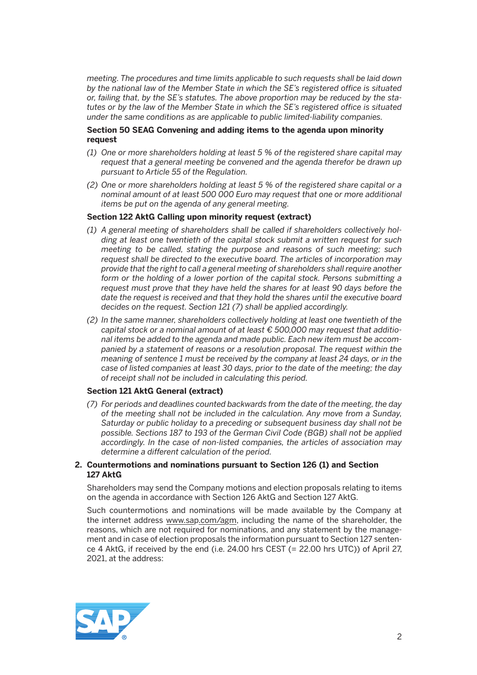*meeting. The procedures and time limits applicable to such requests shall be laid down by the national law of the Member State in which the SE's registered office is situated or, failing that, by the SE's statutes. The above proportion may be reduced by the statutes or by the law of the Member State in which the SE's registered office is situated under the same conditions as are applicable to public limited-liability companies.*

### **Section 50 SEAG Convening and adding items to the agenda upon minority request**

- *(1) One or more shareholders holding at least 5 % of the registered share capital may request that a general meeting be convened and the agenda therefor be drawn up pursuant to Article 55 of the Regulation.*
- *(2) One or more shareholders holding at least 5 % of the registered share capital or a nominal amount of at least 500 000 Euro may request that one or more additional items be put on the agenda of any general meeting.*

### **Section 122 AktG Calling upon minority request (extract)**

- *(1) A general meeting of shareholders shall be called if shareholders collectively holding at least one twentieth of the capital stock submit a written request for such meeting to be called, stating the purpose and reasons of such meeting; such request shall be directed to the executive board. The articles of incorporation may provide that the right to call a general meeting of shareholders shall require another form or the holding of a lower portion of the capital stock. Persons submitting a request must prove that they have held the shares for at least 90 days before the date the request is received and that they hold the shares until the executive board decides on the request. Section 121 (7) shall be applied accordingly.*
- *(2) In the same manner, shareholders collectively holding at least one twentieth of the capital stock or a nominal amount of at least € 500,000 may request that additional items be added to the agenda and made public. Each new item must be accompanied by a statement of reasons or a resolution proposal. The request within the meaning of sentence 1 must be received by the company at least 24 days, or in the case of listed companies at least 30 days, prior to the date of the meeting; the day of receipt shall not be included in calculating this period.*

### **Section 121 AktG General (extract)**

*(7) For periods and deadlines counted backwards from the date of the meeting, the day of the meeting shall not be included in the calculation. Any move from a Sunday, Saturday or public holiday to a preceding or subsequent business day shall not be possible. Sections 187 to 193 of the German Civil Code (BGB) shall not be applied accordingly. In the case of non-listed companies, the articles of association may determine a different calculation of the period.* 

### **2. Countermotions and nominations pursuant to Section 126 (1) and Section 127 AktG**

 Shareholders may send the Company motions and election proposals relating to items on the agenda in accordance with Section 126 AktG and Section 127 AktG.

 Such countermotions and nominations will be made available by the Company at the internet address www.sap.com/agm, including the name of the shareholder, the reasons, which are not required for nominations, and any statement by the management and in case of election proposals the information pursuant to Section 127 sentence 4 AktG, if received by the end (i.e. 24.00 hrs CEST (= 22.00 hrs UTC)) of April 27, 2021, at the address:

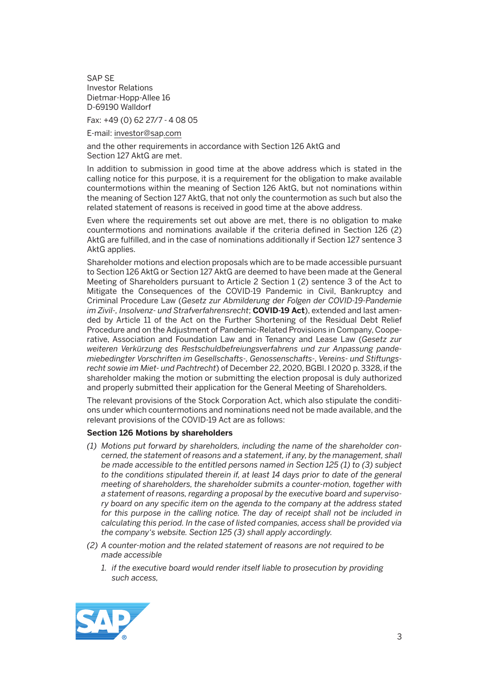SAP SE Investor Relations Dietmar-Hopp-Allee 16 D-69190 Walldorf

 Fax: +49 (0) 62 27/7 - 4 08 05

E-mail: investor@sap.com

 and the other requirements in accordance with Section 126 AktG and Section 127 AktG are met.

 In addition to submission in good time at the above address which is stated in the calling notice for this purpose, it is a requirement for the obligation to make available countermotions within the meaning of Section 126 AktG, but not nominations within the meaning of Section 127 AktG, that not only the countermotion as such but also the related statement of reasons is received in good time at the above address.

 Even where the requirements set out above are met, there is no obligation to make countermotions and nominations available if the criteria defined in Section 126 (2) AktG are fulfilled, and in the case of nominations additionally if Section 127 sentence 3 AktG applies.

 Shareholder motions and election proposals which are to be made accessible pursuant to Section 126 AktG or Section 127 AktG are deemed to have been made at the General Meeting of Shareholders pursuant to Article 2 Section 1 (2) sentence 3 of the Act to Mitigate the Consequences of the COVID-19 Pandemic in Civil, Bankruptcy and Criminal Procedure Law (*Gesetz zur Abmilderung der Folgen der COVID-19-Pandemie im Zivil-, Insolvenz- und Strafverfahrensrecht*; **COVID-19 Act**), extended and last amended by Article 11 of the Act on the Further Shortening of the Residual Debt Relief Procedure and on the Adjustment of Pandemic-Related Provisions in Company, Cooperative, Association and Foundation Law and in Tenancy and Lease Law (*Gesetz zur weiteren Verkürzung des Restschuldbefreiungsverfahrens und zur Anpassung pandemiebedingter Vorschriften im Gesellschafts-, Genossenschafts-, Vereins- und Stiftungsrecht sowie im Miet- und Pachtrecht*) of December 22, 2020, BGBl. I 2020 p. 3328, if the shareholder making the motion or submitting the election proposal is duly authorized and properly submitted their application for the General Meeting of Shareholders.

 The relevant provisions of the Stock Corporation Act, which also stipulate the conditions under which countermotions and nominations need not be made available, and the relevant provisions of the COVID-19 Act are as follows:

### **Section 126 Motions by shareholders**

- *(1) Motions put forward by shareholders, including the name of the shareholder concerned, the statement of reasons and a statement, if any, by the management, shall be made accessible to the entitled persons named in Section 125 (1) to (3) subject*  to the conditions stipulated therein if, at least 14 days prior to date of the general *meeting of shareholders, the shareholder submits a counter-motion, together with a statement of reasons, regarding a proposal by the executive board and supervisory board on any specific item on the agenda to the company at the address stated*  for this purpose in the calling notice. The day of receipt shall not be included in *calculating this period. In the case of listed companies, access shall be provided via the company's website. Section 125 (3) shall apply accordingly.*
- *(2) A counter-motion and the related statement of reasons are not required to be made accessible* 
	- *1. if the executive board would render itself liable to prosecution by providing such access,*

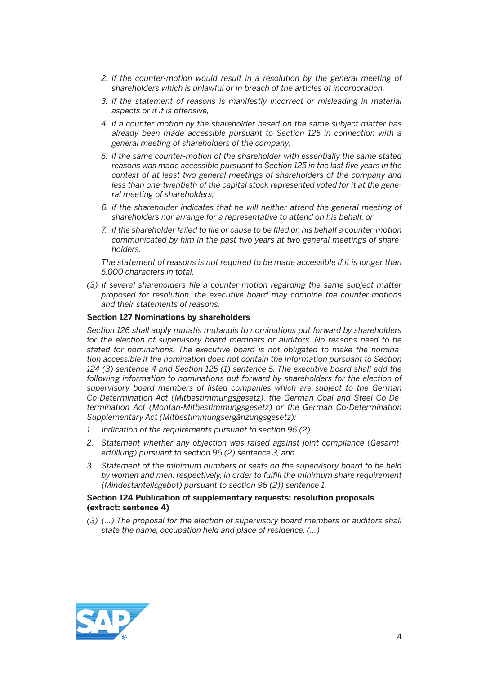- *2. if the counter-motion would result in a resolution by the general meeting of shareholders which is unlawful or in breach of the articles of incorporation,*
- *3. if the statement of reasons is manifestly incorrect or misleading in material aspects or if it is offensive,*
- *4. if a counter-motion by the shareholder based on the same subject matter has already been made accessible pursuant to Section 125 in connection with a general meeting of shareholders of the company,*
- *5. if the same counter-motion of the shareholder with essentially the same stated reasons was made accessible pursuant to Section 125 in the last five years in the context of at least two general meetings of shareholders of the company and less than one-twentieth of the capital stock represented voted for it at the general meeting of shareholders,*
- *6. if the shareholder indicates that he will neither attend the general meeting of shareholders nor arrange for a representative to attend on his behalf, or*
- *7. if the shareholder failed to file or cause to be filed on his behalf a counter-motion communicated by him in the past two years at two general meetings of shareholders.*

 *The statement of reasons is not required to be made accessible if it is longer than 5,000 characters in total.* 

*(3) If several shareholders file a counter-motion regarding the same subject matter proposed for resolution, the executive board may combine the counter-motions and their statements of reasons.* 

#### **Section 127 Nominations by shareholders**

 *Section 126 shall apply mutatis mutandis to nominations put forward by shareholders for the election of supervisory board members or auditors. No reasons need to be stated for nominations. The executive board is not obligated to make the nomination accessible if the nomination does not contain the information pursuant to Section 124 (3) sentence 4 and Section 125 (1) sentence 5. The executive board shall add the*  following information to nominations put forward by shareholders for the election of *supervisory board members of listed companies which are subject to the German Co-Determination Act (Mitbestimmungsgesetz), the German Coal and Steel Co-Determination Act (Montan-Mitbestimmungsgesetz) or the German Co-Determination Supplementary Act (Mitbestimmungsergänzungsgesetz):* 

- *1. Indication of the requirements pursuant to section 96 (2),*
- *2. Statement whether any objection was raised against joint compliance (Gesamterfüllung) pursuant to section 96 (2) sentence 3, and*
- *3. Statement of the minimum numbers of seats on the supervisory board to be held by women and men, respectively, in order to fulfill the minimum share requirement (Mindestanteilsgebot) pursuant to section 96 (2)) sentence 1.*

#### **Section 124 Publication of supplementary requests; resolution proposals (extract: sentence 4)**

 *(3) (...) The proposal for the election of supervisory board members or auditors shall state the name, occupation held and place of residence. (...)*